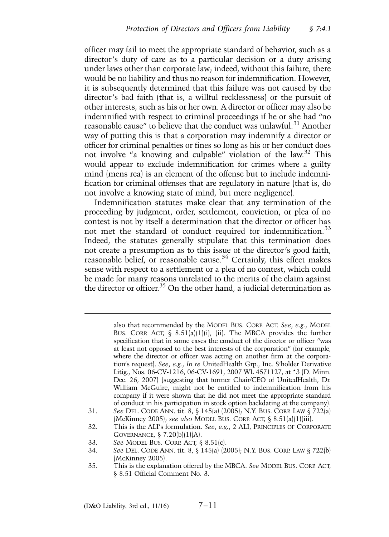officer may fail to meet the appropriate standard of behavior, such as a director's duty of care as to a particular decision or a duty arising under laws other than corporate law; indeed, without this failure, there would be no liability and thus no reason for indemnification. However, it is subsequently determined that this failure was not caused by the director's bad faith (that is, a willful recklessness) or the pursuit of other interests, such as his or her own. A director or officer may also be indemnified with respect to criminal proceedings if he or she had "no reasonable cause" to believe that the conduct was unlawful.<sup>31</sup> Another way of putting this is that a corporation may indemnify a director or officer for criminal penalties or fines so long as his or her conduct does not involve "a knowing and culpable" violation of the law.<sup>32</sup> This would appear to exclude indemnification for crimes where a guilty mind (mens rea) is an element of the offense but to include indemnification for criminal offenses that are regulatory in nature (that is, do not involve a knowing state of mind, but mere negligence).

Indemnification statutes make clear that any termination of the proceeding by judgment, order, settlement, conviction, or plea of no contest is not by itself a determination that the director or officer has not met the standard of conduct required for indemnification.<sup>33</sup> Indeed, the statutes generally stipulate that this termination does not create a presumption as to this issue of the director's good faith, reasonable belief, or reasonable cause.<sup>34</sup> Certainly, this effect makes sense with respect to a settlement or a plea of no contest, which could be made for many reasons unrelated to the merits of the claim against the director or officer.<sup>35</sup> On the other hand, a judicial determination as

> also that recommended by the MODEL BUS. CORP. ACT. *See*, *e.g.*, MODEL BUS. CORP. ACT,  $\S$  8.51(a)(1)(i), (ii). The MBCA provides the further specification that in some cases the conduct of the director or officer "was at least not opposed to the best interests of the corporation" (for example, where the director or officer was acting on another firm at the corporation's request). *See*, *e.g.*, *In re* UnitedHealth Grp., Inc. S'holder Derivative Litig., Nos. 06-CV-1216, 06-CV-1691, 2007 WL 4571127, at \*3 (D. Minn. Dec. 26, 2007) (suggesting that former Chair/CEO of UnitedHealth, Dr. William McGuire, might not be entitled to indemnification from his company if it were shown that he did not meet the appropriate standard of conduct in his participation in stock option backdating at the company).

- 31. *See* DEL. CODE ANN. tit. 8, § 145(a) (2005); N.Y. BUS. CORP. LAW § 722(a) (McKinney 2005); *see also* MODEL BUS. CORP. ACT, § 8.51(a)(1)(iii).
- 32. This is the ALI's formulation. *See*, *e.g.*, 2 ALI, PRINCIPLES OF CORPORATE GOVERNANCE, § 7.20(b)(1)(A).
- 33. *See* MODEL BUS. CORP. ACT, § 8.51(c).

<sup>34.</sup> *See* DEL. CODE ANN. tit. 8, § 145(a) (2005); N.Y. BUS. CORP. LAW § 722(b) (McKinney 2005).

<sup>35.</sup> This is the explanation offered by the MBCA. *See* MODEL BUS. CORP. ACT, § 8.51 Official Comment No. 3.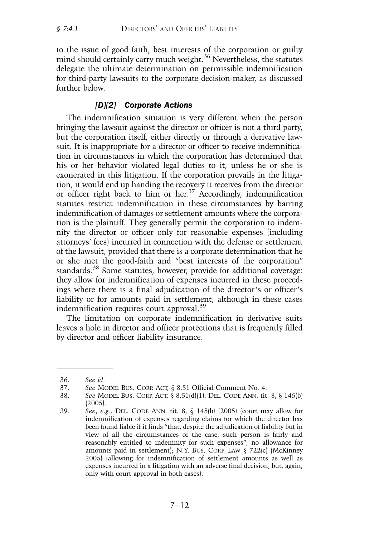to the issue of good faith, best interests of the corporation or guilty mind should certainly carry much weight.<sup>36</sup> Nevertheless, the statutes delegate the ultimate determination on permissible indemnification for third-party lawsuits to the corporate decision-maker, as discussed further below.

## *[D][2] Corporate Actions*

The indemnification situation is very different when the person bringing the lawsuit against the director or officer is not a third party, but the corporation itself, either directly or through a derivative lawsuit. It is inappropriate for a director or officer to receive indemnification in circumstances in which the corporation has determined that his or her behavior violated legal duties to it, unless he or she is exonerated in this litigation. If the corporation prevails in the litigation, it would end up handing the recovery it receives from the director or officer right back to him or her.<sup>37</sup> Accordingly, indemnification statutes restrict indemnification in these circumstances by barring indemnification of damages or settlement amounts where the corporation is the plaintiff. They generally permit the corporation to indemnify the director or officer only for reasonable expenses (including attorneys' fees) incurred in connection with the defense or settlement of the lawsuit, provided that there is a corporate determination that he or she met the good-faith and "best interests of the corporation" standards.<sup>38</sup> Some statutes, however, provide for additional coverage: they allow for indemnification of expenses incurred in these proceedings where there is a final adjudication of the director's or officer's liability or for amounts paid in settlement, although in these cases indemnification requires court approval.<sup>39</sup>

The limitation on corporate indemnification in derivative suits leaves a hole in director and officer protections that is frequently filled by director and officer liability insurance.

<sup>36.</sup> *See id*.

<sup>37.</sup> *See* MODEL BUS. CORP. ACT, § 8.51 Official Comment No. 4.

<sup>38.</sup> *See* MODEL BUS. CORP. ACT, § 8.51(d)(1); DEL. CODE ANN. tit. 8, § 145(b) (2005).

<sup>39.</sup> *See*, *e.g.*, DEL. CODE ANN. tit. 8, § 145(b) (2005) (court may allow for indemnification of expenses regarding claims for which the director has been found liable if it finds "that, despite the adjudication of liability but in view of all the circumstances of the case, such person is fairly and reasonably entitled to indemnity for such expenses"; no allowance for amounts paid in settlement); N.Y. BUS. CORP. LAW § 722(c) (McKinney 2005) (allowing for indemnification of settlement amounts as well as expenses incurred in a litigation with an adverse final decision, but, again, only with court approval in both cases).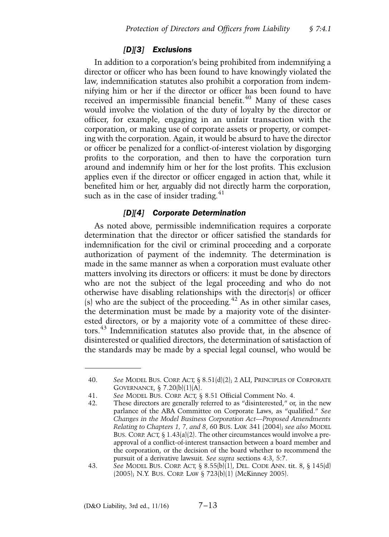### *[D][3] Exclusions*

In addition to a corporation's being prohibited from indemnifying a director or officer who has been found to have knowingly violated the law, indemnification statutes also prohibit a corporation from indemnifying him or her if the director or officer has been found to have received an impermissible financial benefit.<sup>40</sup> Many of these cases would involve the violation of the duty of loyalty by the director or officer, for example, engaging in an unfair transaction with the corporation, or making use of corporate assets or property, or competing with the corporation. Again, it would be absurd to have the director or officer be penalized for a conflict-of-interest violation by disgorging profits to the corporation, and then to have the corporation turn around and indemnify him or her for the lost profits. This exclusion applies even if the director or officer engaged in action that, while it benefited him or her, arguably did not directly harm the corporation, such as in the case of insider trading.<sup>41</sup>

## *[D][4] Corporate Determination*

As noted above, permissible indemnification requires a corporate determination that the director or officer satisfied the standards for indemnification for the civil or criminal proceeding and a corporate authorization of payment of the indemnity. The determination is made in the same manner as when a corporation must evaluate other matters involving its directors or officers: it must be done by directors who are not the subject of the legal proceeding and who do not otherwise have disabling relationships with the director(s) or officer (s) who are the subject of the proceeding. $42$  As in other similar cases, the determination must be made by a majority vote of the disinterested directors, or by a majority vote of a committee of these directors.<sup>43</sup> Indemnification statutes also provide that, in the absence of disinterested or qualified directors, the determination of satisfaction of the standards may be made by a special legal counsel, who would be

<sup>40.</sup> *See* MODEL BUS. CORP. ACT, § 8.51(d)(2); 2 ALI, PRINCIPLES OF CORPORATE GOVERNANCE, § 7.20(b)(1)(A).

<sup>41.</sup> *See* MODEL BUS. CORP. ACT, § 8.51 Official Comment No. 4.

<sup>42.</sup> These directors are generally referred to as "disinterested," or, in the new parlance of the ABA Committee on Corporate Laws, as "qualified." *See Changes in the Model Business Corporation Act—Proposed Amendments Relating to Chapters 1, 7, and 8*, 60 BUS. LAW. 341 (2004); *see also* MODEL BUS. CORP. ACT,  $\S$  1.43(a)(2). The other circumstances would involve a preapproval of a conflict-of-interest transaction between a board member and the corporation, or the decision of the board whether to recommend the pursuit of a derivative lawsuit. *See supra* sections 4:3, 5:7.

<sup>43.</sup> *See* MODEL BUS. CORP. ACT, § 8.55(b)(1), DEL. CODE ANN. tit. 8, § 145(d) (2005); N.Y. BUS. CORP. LAW § 723(b)(1) (McKinney 2005).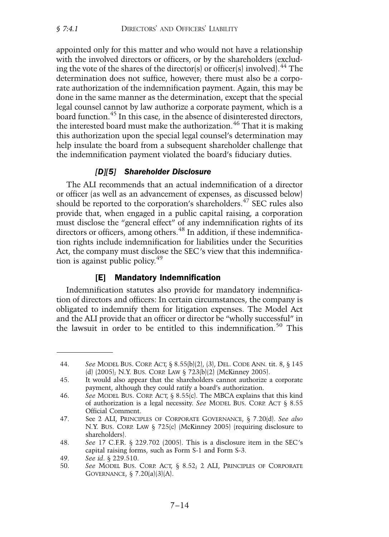appointed only for this matter and who would not have a relationship with the involved directors or officers, or by the shareholders (excluding the vote of the shares of the director(s) or officer(s) involved).  $^{44}$  The determination does not suffice, however; there must also be a corporate authorization of the indemnification payment. Again, this may be done in the same manner as the determination, except that the special legal counsel cannot by law authorize a corporate payment, which is a board function.<sup>45</sup> In this case, in the absence of disinterested directors, the interested board must make the authorization.<sup>46</sup> That it is making this authorization upon the special legal counsel's determination may help insulate the board from a subsequent shareholder challenge that the indemnification payment violated the board's fiduciary duties.

## *[D][5] Shareholder Disclosure*

The ALI recommends that an actual indemnification of a director or officer (as well as an advancement of expenses, as discussed below) should be reported to the corporation's shareholders.<sup>47</sup> SEC rules also provide that, when engaged in a public capital raising, a corporation must disclose the "general effect" of any indemnification rights of its directors or officers, among others.<sup>48</sup> In addition, if these indemnification rights include indemnification for liabilities under the Securities Act, the company must disclose the SEC's view that this indemnification is against public policy.<sup>49</sup>

# [E] Mandatory Indemnification

Indemnification statutes also provide for mandatory indemnification of directors and officers: In certain circumstances, the company is obligated to indemnify them for litigation expenses. The Model Act and the ALI provide that an officer or director be "wholly successful" in the lawsuit in order to be entitled to this indemnification.<sup>50</sup> This

<sup>44.</sup> *See* MODEL BUS. CORP. ACT, § 8.55(b)(2), (3), DEL. CODE ANN. tit. 8, § 145 (d) (2005); N.Y. BUS. CORP. LAW § 723(b)(2) (McKinney 2005).

<sup>45.</sup> It would also appear that the shareholders cannot authorize a corporate payment, although they could ratify a board's authorization.

<sup>46.</sup> *See* MODEL BUS. CORP. ACT, § 8.55(c). The MBCA explains that this kind of authorization is a legal necessity. *See* MODEL BUS. CORP. ACT § 8.55 Official Comment.

<sup>47.</sup> See 2 ALI, PRINCIPLES OF CORPORATE GOVERNANCE, § 7.20(d). *See also* N.Y. BUS. CORP. LAW § 725(c) (McKinney 2005) (requiring disclosure to shareholders).

<sup>48.</sup> *See* 17 C.F.R. § 229.702 (2005). This is a disclosure item in the SEC's capital raising forms, such as Form S-1 and Form S-3.

<sup>49.</sup> *See id*. § 229.510.

<sup>50.</sup> *See* MODEL BUS. CORP. ACT, § 8.52; 2 ALI, PRINCIPLES OF CORPORATE GOVERNANCE, § 7.20(a)(3)(A).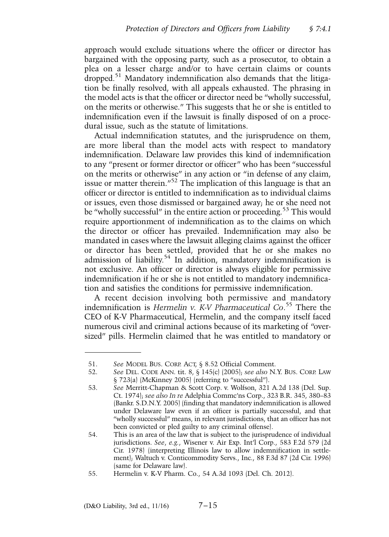approach would exclude situations where the officer or director has bargained with the opposing party, such as a prosecutor, to obtain a plea on a lesser charge and/or to have certain claims or counts dropped.<sup>51</sup> Mandatory indemnification also demands that the litigation be finally resolved, with all appeals exhausted. The phrasing in the model acts is that the officer or director need be "wholly successful, on the merits or otherwise." This suggests that he or she is entitled to indemnification even if the lawsuit is finally disposed of on a procedural issue, such as the statute of limitations.

Actual indemnification statutes, and the jurisprudence on them, are more liberal than the model acts with respect to mandatory indemnification. Delaware law provides this kind of indemnification to any "present or former director or officer" who has been "successful on the merits or otherwise" in any action or "in defense of any claim, issue or matter therein."<sup>52</sup> The implication of this language is that an officer or director is entitled to indemnification as to individual claims or issues, even those dismissed or bargained away; he or she need not be "wholly successful" in the entire action or proceeding.<sup>53</sup> This would require apportionment of indemnification as to the claims on which the director or officer has prevailed. Indemnification may also be mandated in cases where the lawsuit alleging claims against the officer or director has been settled, provided that he or she makes no admission of liability.<sup>54</sup> In addition, mandatory indemnification is not exclusive. An officer or director is always eligible for permissive indemnification if he or she is not entitled to mandatory indemnification and satisfies the conditions for permissive indemnification.

A recent decision involving both permissive and mandatory indemnification is *Hermelin v. K-V Pharmaceutical Co*. <sup>55</sup> There the CEO of K-V Pharmaceutical, Hermelin, and the company itself faced numerous civil and criminal actions because of its marketing of "oversized" pills. Hermelin claimed that he was entitled to mandatory or

<sup>51.</sup> *See* MODEL BUS. CORP. ACT, § 8.52 Official Comment.

<sup>52.</sup> *See* DEL. CODE ANN. tit. 8, § 145(c) (2005); *see also* N.Y. BUS. CORP. LAW § 723(a) (McKinney 2005) (referring to "successful").

<sup>53.</sup> *See* Merritt-Chapman & Scott Corp. v. Wolfson, 321 A.2d 138 (Del. Sup. Ct. 1974); *see also In re* Adelphia Commc'ns Corp., 323 B.R. 345, 380–83 (Bankr. S.D.N.Y. 2005) (finding that mandatory indemnification is allowed under Delaware law even if an officer is partially successful, and that "wholly successful" means, in relevant jurisdictions, that an officer has not been convicted or pled guilty to any criminal offense).

<sup>54.</sup> This is an area of the law that is subject to the jurisprudence of individual jurisdictions. *See*, *e.g.*, Wisener v. Air Exp. Int'l Corp., 583 F.2d 579 (2d Cir. 1978) (interpreting Illinois law to allow indemnification in settlement); Waltuch v. Conticommodity Servs., Inc., 88 F.3d 87 (2d Cir. 1996) (same for Delaware law).

<sup>55.</sup> Hermelin v. K-V Pharm. Co., 54 A.3d 1093 (Del. Ch. 2012).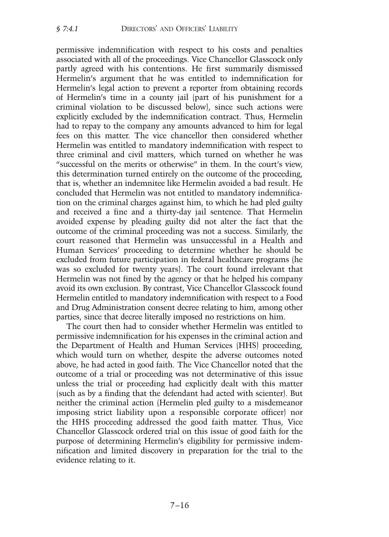permissive indemnification with respect to his costs and penalties associated with all of the proceedings. Vice Chancellor Glasscock only partly agreed with his contentions. He first summarily dismissed Hermelin's argument that he was entitled to indemnification for Hermelin's legal action to prevent a reporter from obtaining records of Hermelin's time in a county jail (part of his punishment for a criminal violation to be discussed below), since such actions were explicitly excluded by the indemnification contract. Thus, Hermelin had to repay to the company any amounts advanced to him for legal fees on this matter. The vice chancellor then considered whether Hermelin was entitled to mandatory indemnification with respect to three criminal and civil matters, which turned on whether he was "successful on the merits or otherwise" in them. In the court's view, this determination turned entirely on the outcome of the proceeding, that is, whether an indemnitee like Hermelin avoided a bad result. He concluded that Hermelin was not entitled to mandatory indemnification on the criminal charges against him, to which he had pled guilty and received a fine and a thirty-day jail sentence. That Hermelin avoided expense by pleading guilty did not alter the fact that the outcome of the criminal proceeding was not a success. Similarly, the court reasoned that Hermelin was unsuccessful in a Health and Human Services' proceeding to determine whether he should be excluded from future participation in federal healthcare programs (he was so excluded for twenty years). The court found irrelevant that Hermelin was not fined by the agency or that he helped his company avoid its own exclusion. By contrast, Vice Chancellor Glasscock found Hermelin entitled to mandatory indemnification with respect to a Food and Drug Administration consent decree relating to him, among other parties, since that decree literally imposed no restrictions on him.

The court then had to consider whether Hermelin was entitled to permissive indemnification for his expenses in the criminal action and the Department of Health and Human Services (HHS) proceeding, which would turn on whether, despite the adverse outcomes noted above, he had acted in good faith. The Vice Chancellor noted that the outcome of a trial or proceeding was not determinative of this issue unless the trial or proceeding had explicitly dealt with this matter (such as by a finding that the defendant had acted with scienter). But neither the criminal action (Hermelin pled guilty to a misdemeanor imposing strict liability upon a responsible corporate officer) nor the HHS proceeding addressed the good faith matter. Thus, Vice Chancellor Glasscock ordered trial on this issue of good faith for the purpose of determining Hermelin's eligibility for permissive indemnification and limited discovery in preparation for the trial to the evidence relating to it.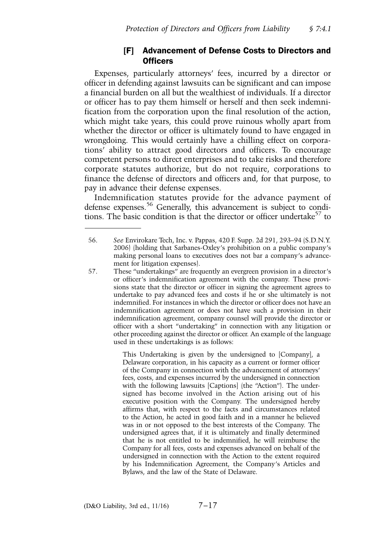# [F] Advancement of Defense Costs to Directors and **Officers**

Expenses, particularly attorneys' fees, incurred by a director or officer in defending against lawsuits can be significant and can impose a financial burden on all but the wealthiest of individuals. If a director or officer has to pay them himself or herself and then seek indemnification from the corporation upon the final resolution of the action, which might take years, this could prove ruinous wholly apart from whether the director or officer is ultimately found to have engaged in wrongdoing. This would certainly have a chilling effect on corporations' ability to attract good directors and officers. To encourage competent persons to direct enterprises and to take risks and therefore corporate statutes authorize, but do not require, corporations to finance the defense of directors and officers and, for that purpose, to pay in advance their defense expenses.

Indemnification statutes provide for the advance payment of defense expenses.<sup>56</sup> Generally, this advancement is subject to conditions. The basic condition is that the director or officer undertake<sup>57</sup> to

This Undertaking is given by the undersigned to [Company], a Delaware corporation, in his capacity as a current or former officer of the Company in connection with the advancement of attorneys' fees, costs, and expenses incurred by the undersigned in connection with the following lawsuits [Captions] (the "Action"). The undersigned has become involved in the Action arising out of his executive position with the Company. The undersigned hereby affirms that, with respect to the facts and circumstances related to the Action, he acted in good faith and in a manner he believed was in or not opposed to the best interests of the Company. The undersigned agrees that, if it is ultimately and finally determined that he is not entitled to be indemnified, he will reimburse the Company for all fees, costs and expenses advanced on behalf of the undersigned in connection with the Action to the extent required by his Indemnification Agreement, the Company's Articles and Bylaws, and the law of the State of Delaware.

<sup>56.</sup> *See* Envirokare Tech, Inc. v. Pappas, 420 F. Supp. 2d 291, 293–94 (S.D.N.Y. 2006) (holding that Sarbanes-Oxley's prohibition on a public company's making personal loans to executives does not bar a company's advancement for litigation expenses).

<sup>57.</sup> These "undertakings" are frequently an evergreen provision in a director's or officer's indemnification agreement with the company. These provisions state that the director or officer in signing the agreement agrees to undertake to pay advanced fees and costs if he or she ultimately is not indemnified. For instances in which the director or officer does not have an indemnification agreement or does not have such a provision in their indemnification agreement, company counsel will provide the director or officer with a short "undertaking" in connection with any litigation or other proceeding against the director or officer. An example of the language used in these undertakings is as follows: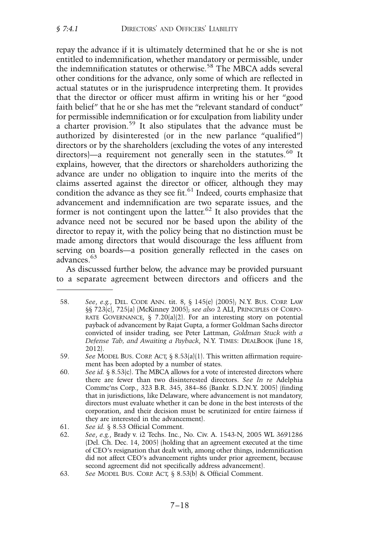repay the advance if it is ultimately determined that he or she is not entitled to indemnification, whether mandatory or permissible, under the indemnification statutes or otherwise.<sup>58</sup> The MBCA adds several other conditions for the advance, only some of which are reflected in actual statutes or in the jurisprudence interpreting them. It provides that the director or officer must affirm in writing his or her "good faith belief" that he or she has met the "relevant standard of conduct" for permissible indemnification or for exculpation from liability under a charter provision.<sup>59</sup> It also stipulates that the advance must be authorized by disinterested (or in the new parlance "qualified") directors or by the shareholders (excluding the votes of any interested directors)—a requirement not generally seen in the statutes.<sup>60</sup> It explains, however, that the directors or shareholders authorizing the advance are under no obligation to inquire into the merits of the claims asserted against the director or officer, although they may condition the advance as they see fit.<sup>61</sup> Indeed, courts emphasize that advancement and indemnification are two separate issues, and the former is not contingent upon the latter.<sup>62</sup> It also provides that the advance need not be secured nor be based upon the ability of the director to repay it, with the policy being that no distinction must be made among directors that would discourage the less affluent from serving on boards—a position generally reflected in the cases on advances.<sup>63</sup>

As discussed further below, the advance may be provided pursuant to a separate agreement between directors and officers and the

60. *See id.* § 8.53(c). The MBCA allows for a vote of interested directors where there are fewer than two disinterested directors. *See In re* Adelphia Commc'ns Corp., 323 B.R. 345, 384–86 (Bankr. S.D.N.Y. 2005) (finding that in jurisdictions, like Delaware, where advancement is not mandatory, directors must evaluate whether it can be done in the best interests of the corporation, and their decision must be scrutinized for entire fairness if they are interested in the advancement).

62. *See*, *e.g.*, Brady v. i2 Techs. Inc., No. Civ. A. 1543-N, 2005 WL 3691286 (Del. Ch. Dec. 14, 2005) (holding that an agreement executed at the time of CEO's resignation that dealt with, among other things, indemnification did not affect CEO's advancement rights under prior agreement, because second agreement did not specifically address advancement).

<sup>58.</sup> *See*, *e.g.*, DEL. CODE ANN. tit. 8, § 145(e) (2005); N.Y. BUS. CORP. LAW §§ 723(c), 725(a) (McKinney 2005); *see also* 2 ALI, PRINCIPLES OF CORPO-RATE GOVERNANCE,  $\S$  7.20(a)(2). For an interesting story on potential payback of advancement by Rajat Gupta, a former Goldman Sachs director convicted of insider trading, see Peter Lattman, *Goldman Stuck with a Defense Tab, and Awaiting a Payback*, N.Y. TIMES: DEALBOOK (June 18, 2012).

<sup>59.</sup> *See* MODEL BUS. CORP. ACT, § 8.53(a)(1). This written affirmation requirement has been adopted by a number of states.

<sup>61.</sup> *See id.* § 8.53 Official Comment.

<sup>63.</sup> *See* MODEL BUS. CORP. ACT, § 8.53(b) & Official Comment.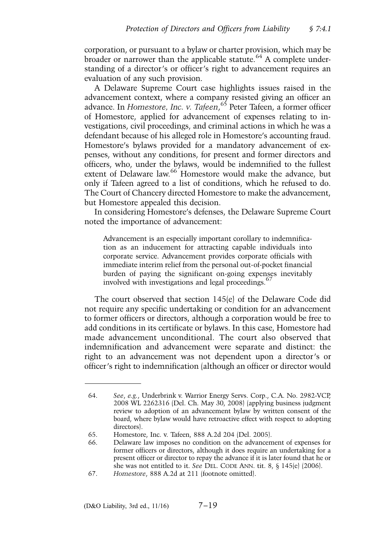corporation, or pursuant to a bylaw or charter provision, which may be broader or narrower than the applicable statute.<sup>64</sup> A complete understanding of a director's or officer's right to advancement requires an evaluation of any such provision.

A Delaware Supreme Court case highlights issues raised in the advancement context, where a company resisted giving an officer an advance. In *Homestore, Inc. v. Tafeen*, <sup>65</sup> Peter Tafeen, a former officer of Homestore, applied for advancement of expenses relating to investigations, civil proceedings, and criminal actions in which he was a defendant because of his alleged role in Homestore's accounting fraud. Homestore's bylaws provided for a mandatory advancement of expenses, without any conditions, for present and former directors and officers, who, under the bylaws, would be indemnified to the fullest extent of Delaware law.<sup>66</sup> Homestore would make the advance, but only if Tafeen agreed to a list of conditions, which he refused to do. The Court of Chancery directed Homestore to make the advancement, but Homestore appealed this decision.

In considering Homestore's defenses, the Delaware Supreme Court noted the importance of advancement:

Advancement is an especially important corollary to indemnification as an inducement for attracting capable individuals into corporate service. Advancement provides corporate officials with immediate interim relief from the personal out-of-pocket financial burden of paying the significant on-going expenses inevitably involved with investigations and legal proceedings.<sup>67</sup>

The court observed that section 145(e) of the Delaware Code did not require any specific undertaking or condition for an advancement to former officers or directors, although a corporation would be free to add conditions in its certificate or bylaws. In this case, Homestore had made advancement unconditional. The court also observed that indemnification and advancement were separate and distinct: the right to an advancement was not dependent upon a director's or officer's right to indemnification (although an officer or director would

<sup>64.</sup> *See*, *e.g.*, Underbrink v. Warrior Energy Servs. Corp., C.A. No. 2982-VCP, 2008 WL 2262316 (Del. Ch. May 30, 2008) (applying business judgment review to adoption of an advancement bylaw by written consent of the board, where bylaw would have retroactive effect with respect to adopting directors).

<sup>65.</sup> Homestore, Inc. v. Tafeen, 888 A.2d 204 (Del. 2005).

<sup>66.</sup> Delaware law imposes no condition on the advancement of expenses for former officers or directors, although it does require an undertaking for a present officer or director to repay the advance if it is later found that he or she was not entitled to it. *See* DEL. CODE ANN. tit. 8, § 145(e) (2006).

<sup>67.</sup> *Homestore*, 888 A.2d at 211 (footnote omitted).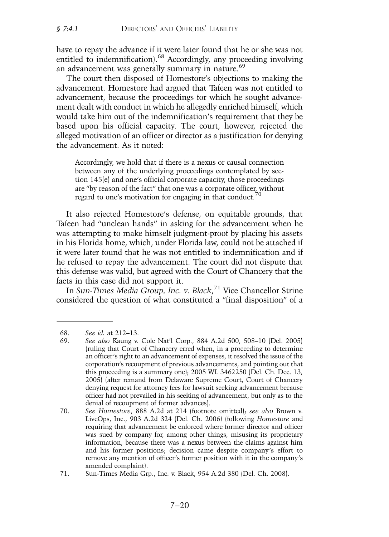have to repay the advance if it were later found that he or she was not entitled to indemnification).<sup>68</sup> Accordingly, any proceeding involving an advancement was generally summary in nature.<sup>69</sup>

The court then disposed of Homestore's objections to making the advancement. Homestore had argued that Tafeen was not entitled to advancement, because the proceedings for which he sought advancement dealt with conduct in which he allegedly enriched himself, which would take him out of the indemnification's requirement that they be based upon his official capacity. The court, however, rejected the alleged motivation of an officer or director as a justification for denying the advancement. As it noted:

Accordingly, we hold that if there is a nexus or causal connection between any of the underlying proceedings contemplated by section 145(e) and one's official corporate capacity, those proceedings are "by reason of the fact" that one was a corporate officer, without regard to one's motivation for engaging in that conduct.<sup>70</sup>

It also rejected Homestore's defense, on equitable grounds, that Tafeen had "unclean hands" in asking for the advancement when he was attempting to make himself judgment-proof by placing his assets in his Florida home, which, under Florida law, could not be attached if it were later found that he was not entitled to indemnification and if he refused to repay the advancement. The court did not dispute that this defense was valid, but agreed with the Court of Chancery that the facts in this case did not support it.

In *Sun-Times Media Group, Inc. v. Black*, <sup>71</sup> Vice Chancellor Strine considered the question of what constituted a "final disposition" of a

<sup>68.</sup> *See id.* at 212–13.

<sup>69.</sup> *See also* Kaung v. Cole Nat'l Corp., 884 A.2d 500, 508–10 (Del. 2005) (ruling that Court of Chancery erred when, in a proceeding to determine an officer's right to an advancement of expenses, it resolved the issue of the corporation's recoupment of previous advancements, and pointing out that this proceeding is a summary one); 2005 WL 3462250 (Del. Ch. Dec. 13, 2005) (after remand from Delaware Supreme Court, Court of Chancery denying request for attorney fees for lawsuit seeking advancement because officer had not prevailed in his seeking of advancement, but only as to the denial of recoupment of former advances).

<sup>70.</sup> *See Homestore*, 888 A.2d at 214 (footnote omitted); *see also* Brown v. LiveOps, Inc., 903 A.2d 324 (Del. Ch. 2006) (following *Homestore* and requiring that advancement be enforced where former director and officer was sued by company for, among other things, misusing its proprietary information, because there was a nexus between the claims against him and his former positions; decision came despite company's effort to remove any mention of officer's former position with it in the company's amended complaint).

<sup>71.</sup> Sun-Times Media Grp., Inc. v. Black, 954 A.2d 380 (Del. Ch. 2008).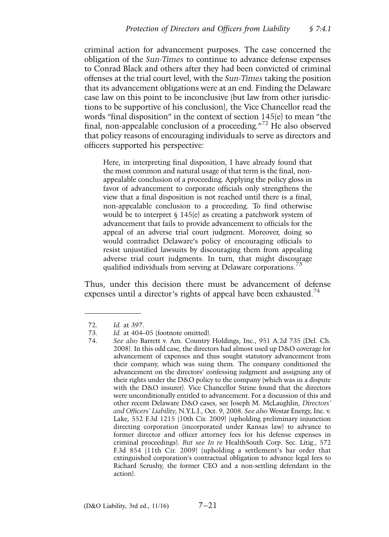criminal action for advancement purposes. The case concerned the obligation of the *Sun-Times* to continue to advance defense expenses to Conrad Black and others after they had been convicted of criminal offenses at the trial court level, with the *Sun-Times* taking the position that its advancement obligations were at an end. Finding the Delaware case law on this point to be inconclusive (but law from other jurisdictions to be supportive of his conclusion), the Vice Chancellor read the words "final disposition" in the context of section 145(e) to mean "the final, non-appealable conclusion of a proceeding."<sup>72</sup> He also observed that policy reasons of encouraging individuals to serve as directors and officers supported his perspective:

Here, in interpreting final disposition, I have already found that the most common and natural usage of that term is the final, nonappealable conclusion of a proceeding. Applying the policy gloss in favor of advancement to corporate officials only strengthens the view that a final disposition is not reached until there is a final, non-appealable conclusion to a proceeding. To find otherwise would be to interpret § 145(e) as creating a patchwork system of advancement that fails to provide advancement to officials for the appeal of an adverse trial court judgment. Moreover, doing so would contradict Delaware's policy of encouraging officials to resist unjustified lawsuits by discouraging them from appealing adverse trial court judgments. In turn, that might discourage qualified individuals from serving at Delaware corporations.<sup>73</sup>

Thus, under this decision there must be advancement of defense expenses until a director's rights of appeal have been exhausted.<sup>74</sup>

<sup>72.</sup> *Id.* at 397.

<sup>73.</sup> *Id.* at 404–05 (footnote omitted).<br>74. See also Barrett v. Am. Country 74. *See also* Barrett v. Am. Country Holdings, Inc., 951 A.2d 735 (Del. Ch. 2008). In this odd case, the directors had almost used up D&O coverage for advancement of expenses and thus sought statutory advancement from their company, which was suing them. The company conditioned the advancement on the directors' confessing judgment and assigning any of their rights under the D&O policy to the company (which was in a dispute with the D&O insurer). Vice Chancellor Strine found that the directors were unconditionally entitled to advancement. For a discussion of this and other recent Delaware D&O cases, see Joseph M. McLaughlin, *Directors' and Officers' Liability*, N.Y.L.J., Oct. 9, 2008. *See also* Westar Energy, Inc. v. Lake, 552 F.3d 1215 (10th Cir. 2009) (upholding preliminary injunction directing corporation (incorporated under Kansas law) to advance to former director and officer attorney fees for his defense expenses in criminal proceedings). *But see In re* HealthSouth Corp. Sec. Litig., 572 F.3d 854 (11th Cir. 2009) (upholding a settlement's bar order that extinguished corporation's contractual obligation to advance legal fees to Richard Scrushy, the former CEO and a non-settling defendant in the action).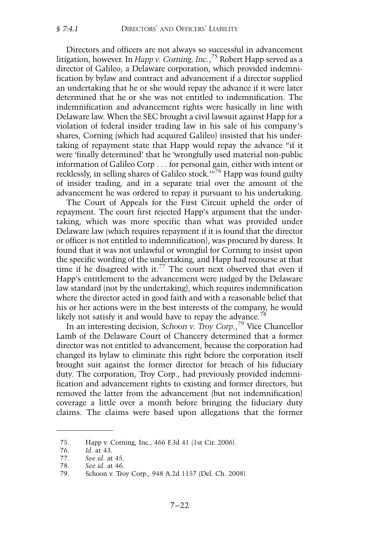Directors and officers are not always so successful in advancement litigation, however. In *Happ v. Corning, Inc.*, <sup>75</sup> Robert Happ served as a director of Galileo, a Delaware corporation, which provided indemnification by bylaw and contract and advancement if a director supplied an undertaking that he or she would repay the advance if it were later determined that he or she was not entitled to indemnification. The indemnification and advancement rights were basically in line with Delaware law. When the SEC brought a civil lawsuit against Happ for a violation of federal insider trading law in his sale of his company's shares, Corning (which had acquired Galileo) insisted that his undertaking of repayment state that Happ would repay the advance "if it were 'finally determined' that he 'wrongfully used material non-public information of Galileo Corp . . . for personal gain, either with intent or recklessly, in selling shares of Galileo stock.'"<sup>76</sup> Happ was found guilty of insider trading, and in a separate trial over the amount of the advancement he was ordered to repay it pursuant to his undertaking.

The Court of Appeals for the First Circuit upheld the order of repayment. The court first rejected Happ's argument that the undertaking, which was more specific than what was provided under Delaware law (which requires repayment if it is found that the director or officer is not entitled to indemnification), was procured by duress. It found that it was not unlawful or wrongful for Corning to insist upon the specific wording of the undertaking, and Happ had recourse at that time if he disagreed with it.<sup>77</sup> The court next observed that even if Happ's entitlement to the advancement were judged by the Delaware law standard (not by the undertaking), which requires indemnification where the director acted in good faith and with a reasonable belief that his or her actions were in the best interests of the company, he would likely not satisfy it and would have to repay the advance.<sup>78</sup>

In an interesting decision, *Schoon v. Troy Corp.*, <sup>79</sup> Vice Chancellor Lamb of the Delaware Court of Chancery determined that a former director was not entitled to advancement, because the corporation had changed its bylaw to eliminate this right before the corporation itself brought suit against the former director for breach of his fiduciary duty. The corporation, Troy Corp., had previously provided indemnification and advancement rights to existing and former directors, but removed the latter from the advancement (but not indemnification) coverage a little over a month before bringing the fiduciary duty claims. The claims were based upon allegations that the former

<sup>75.</sup> Happ v. Corning, Inc., 466 F.3d 41 (1st Cir. 2006).

<sup>76.</sup> *Id*. at 43.

<sup>77.</sup> *See id*. at 45.

<sup>78.</sup> *See id*. at 46.

<sup>79.</sup> Schoon v. Troy Corp., 948 A.2d 1157 (Del. Ch. 2008).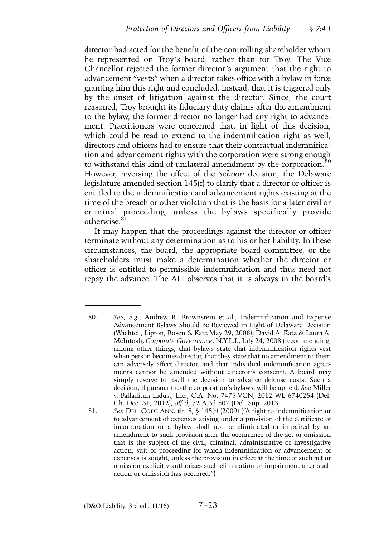director had acted for the benefit of the controlling shareholder whom he represented on Troy's board, rather than for Troy. The Vice Chancellor rejected the former director's argument that the right to advancement "vests" when a director takes office with a bylaw in force granting him this right and concluded, instead, that it is triggered only by the onset of litigation against the director. Since, the court reasoned, Troy brought its fiduciary duty claims after the amendment to the bylaw, the former director no longer had any right to advancement. Practitioners were concerned that, in light of this decision, which could be read to extend to the indemnification right as well. directors and officers had to ensure that their contractual indemnification and advancement rights with the corporation were strong enough to withstand this kind of unilateral amendment by the corporation.<sup>80</sup> However, reversing the effect of the *Schoon* decision, the Delaware legislature amended section 145(f) to clarify that a director or officer is entitled to the indemnification and advancement rights existing at the time of the breach or other violation that is the basis for a later civil or criminal proceeding, unless the bylaws specifically provide otherwise.<sup>8</sup>

It may happen that the proceedings against the director or officer terminate without any determination as to his or her liability. In these circumstances, the board, the appropriate board committee, or the shareholders must make a determination whether the director or officer is entitled to permissible indemnification and thus need not repay the advance. The ALI observes that it is always in the board's

<sup>80.</sup> *See, e.g.*, Andrew R. Brownstein et al., Indemnification and Expense Advancement Bylaws Should Be Reviewed in Light of Delaware Decision (Wachtell, Lipton, Rosen & Katz May 29, 2008); David A. Katz & Laura A. McIntosh, *Corporate Governance*, N.Y.L.J., July 24, 2008 (recommending, among other things, that bylaws state that indemnification rights vest when person becomes director, that they state that no amendment to them can adversely affect director, and that individual indemnification agreements cannot be amended without director's consent). A board may simply reserve to itself the decision to advance defense costs. Such a decision, if pursuant to the corporation's bylaws, will be upheld. *See* Miller v. Palladium Indus., Inc., C.A. No. 7475-VCN, 2012 WL 6740254 (Del. Ch. Dec. 31, 2012), *aff'd*, 72 A.3d 502 (Del. Sup. 2013).

<sup>81.</sup> *See* DEL. CODE ANN. tit. 8, § 145(f) (2009) ("A right to indemnification or to advancement of expenses arising under a provision of the certificate of incorporation or a bylaw shall not be eliminated or impaired by an amendment to such provision after the occurrence of the act or omission that is the subject of the civil, criminal, administrative or investigative action, suit or proceeding for which indemnification or advancement of expenses is sought, unless the provision in effect at the time of such act or omission explicitly authorizes such elimination or impairment after such action or omission has occurred.")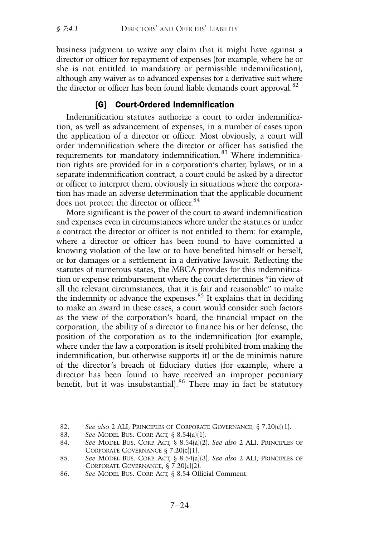business judgment to waive any claim that it might have against a director or officer for repayment of expenses (for example, where he or she is not entitled to mandatory or permissible indemnification), although any waiver as to advanced expenses for a derivative suit where the director or officer has been found liable demands court approval.<sup>82</sup>

## [G] Court-Ordered Indemnification

Indemnification statutes authorize a court to order indemnification, as well as advancement of expenses, in a number of cases upon the application of a director or officer. Most obviously, a court will order indemnification where the director or officer has satisfied the requirements for mandatory indemnification.<sup>83</sup> Where indemnification rights are provided for in a corporation's charter, bylaws, or in a separate indemnification contract, a court could be asked by a director or officer to interpret them, obviously in situations where the corporation has made an adverse determination that the applicable document does not protect the director or officer.<sup>84</sup>

More significant is the power of the court to award indemnification and expenses even in circumstances where under the statutes or under a contract the director or officer is not entitled to them: for example, where a director or officer has been found to have committed a knowing violation of the law or to have benefited himself or herself, or for damages or a settlement in a derivative lawsuit. Reflecting the statutes of numerous states, the MBCA provides for this indemnification or expense reimbursement where the court determines "in view of all the relevant circumstances, that it is fair and reasonable" to make the indemnity or advance the expenses. $85$  It explains that in deciding to make an award in these cases, a court would consider such factors as the view of the corporation's board, the financial impact on the corporation, the ability of a director to finance his or her defense, the position of the corporation as to the indemnification (for example, where under the law a corporation is itself prohibited from making the indemnification, but otherwise supports it) or the de minimis nature of the director's breach of fiduciary duties (for example, where a director has been found to have received an improper pecuniary benefit, but it was insubstantial).<sup>86</sup> There may in fact be statutory

<sup>82.</sup> *See also* 2 ALI, PRINCIPLES OF CORPORATE GOVERNANCE, § 7.20(c)(1).

<sup>83.</sup> *See* MODEL BUS. CORP. ACT, § 8.54(a)(1).

<sup>84.</sup> *See* MODEL BUS. CORP. ACT, § 8.54(a)(2). *See also* 2 ALI, PRINCIPLES OF CORPORATE GOVERNANCE § 7.20(c)(1).

<sup>85.</sup> *See* MODEL BUS. CORP. ACT, § 8.54(a)(3). *See also* 2 ALI, PRINCIPLES OF CORPORATE GOVERNANCE, § 7.20(c)(2).

<sup>86.</sup> *See* MODEL BUS. CORP. ACT, § 8.54 Official Comment.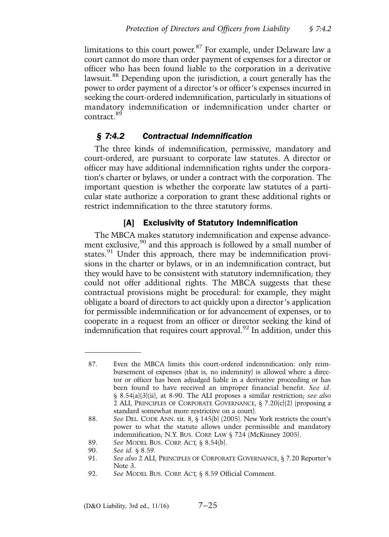limitations to this court power.<sup>87</sup> For example, under Delaware law a court cannot do more than order payment of expenses for a director or officer who has been found liable to the corporation in a derivative lawsuit.<sup>88</sup> Depending upon the jurisdiction, a court generally has the power to order payment of a director's or officer's expenses incurred in seeking the court-ordered indemnification, particularly in situations of mandatory indemnification or indemnification under charter or contract.<sup>89</sup>

# *§ 7:4.2 Contractual Indemnification*

The three kinds of indemnification, permissive, mandatory and court-ordered, are pursuant to corporate law statutes. A director or officer may have additional indemnification rights under the corporation's charter or bylaws, or under a contract with the corporation. The important question is whether the corporate law statutes of a particular state authorize a corporation to grant these additional rights or restrict indemnification to the three statutory forms.

## [A] Exclusivity of Statutory Indemnification

The MBCA makes statutory indemnification and expense advancement exclusive,<sup>90</sup> and this approach is followed by a small number of states.<sup>91</sup> Under this approach, there may be indemnification provisions in the charter or bylaws, or in an indemnification contract, but they would have to be consistent with statutory indemnification; they could not offer additional rights. The MBCA suggests that these contractual provisions might be procedural: for example, they might obligate a board of directors to act quickly upon a director's application for permissible indemnification or for advancement of expenses, or to cooperate in a request from an officer or director seeking the kind of indemnification that requires court approval.<sup>92</sup> In addition, under this

89. *See* MODEL BUS. CORP. ACT, § 8.54(b).

<sup>87.</sup> Even the MBCA limits this court-ordered indemnification: only reimbursement of expenses (that is, no indemnity) is allowed where a director or officer has been adjudged liable in a derivative proceeding or has been found to have received an improper financial benefit. *See id*. § 8.54(a)(3)(ii), at 8-90. The ALI proposes a similar restriction; *see also* 2 ALI, PRINCIPLES OF CORPORATE GOVERNANCE, § 7.20(c)(2) (proposing a standard somewhat more restrictive on a court).

<sup>88.</sup> *See* DEL. CODE ANN. tit. 8, § 145(b) (2005). New York restricts the court's power to what the statute allows under permissible and mandatory indemnification; N.Y. BUS. CORP. LAW § 724 (McKinney 2005).

<sup>90.</sup> *See id.* § 8.59.

See also 2 ALI, PRINCIPLES OF CORPORATE GOVERNANCE, § 7.20 Reporter's Note 3.

<sup>92.</sup> *See* MODEL BUS. CORP. ACT, § 8.59 Official Comment.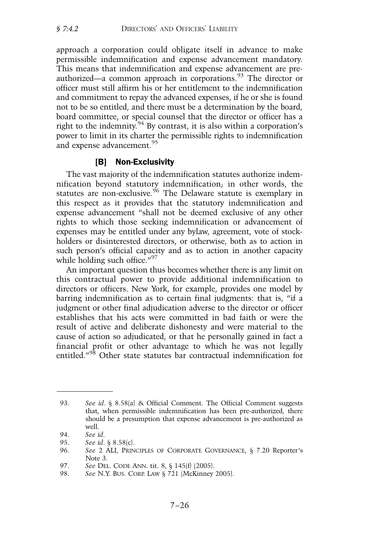approach a corporation could obligate itself in advance to make permissible indemnification and expense advancement mandatory. This means that indemnification and expense advancement are preauthorized—a common approach in corporations. $93$  The director or officer must still affirm his or her entitlement to the indemnification and commitment to repay the advanced expenses, if he or she is found not to be so entitled, and there must be a determination by the board, board committee, or special counsel that the director or officer has a right to the indemnity.<sup>94</sup> By contrast, it is also within a corporation's power to limit in its charter the permissible rights to indemnification and expense advancement.<sup>95</sup>

## [B] Non-Exclusivity

The vast majority of the indemnification statutes authorize indemnification beyond statutory indemnification; in other words, the statutes are non-exclusive.<sup>96</sup> The Delaware statute is exemplary in this respect as it provides that the statutory indemnification and expense advancement "shall not be deemed exclusive of any other rights to which those seeking indemnification or advancement of expenses may be entitled under any bylaw, agreement, vote of stockholders or disinterested directors, or otherwise, both as to action in such person's official capacity and as to action in another capacity while holding such office."<sup>97</sup>

An important question thus becomes whether there is any limit on this contractual power to provide additional indemnification to directors or officers. New York, for example, provides one model by barring indemnification as to certain final judgments: that is, "if a judgment or other final adjudication adverse to the director or officer establishes that his acts were committed in bad faith or were the result of active and deliberate dishonesty and were material to the cause of action so adjudicated, or that he personally gained in fact a financial profit or other advantage to which he was not legally entitled."<sup>98</sup> Other state statutes bar contractual indemnification for

<sup>93.</sup> *See id*. § 8.58(a) & Official Comment. The Official Comment suggests that, when permissible indemnification has been pre-authorized, there should be a presumption that expense advancement is pre-authorized as well.

<sup>94.</sup> *See id*.

<sup>95.</sup> *See id*. § 8.58(c).

<sup>96.</sup> *See* 2 ALI, PRINCIPLES OF CORPORATE GOVERNANCE, § 7.20 Reporter's Note 3.

<sup>97.</sup> *See* DEL. CODE ANN. tit. 8, § 145(f) (2005).

<sup>98.</sup> *See* N.Y. BUS. CORP. LAW § 721 (McKinney 2005).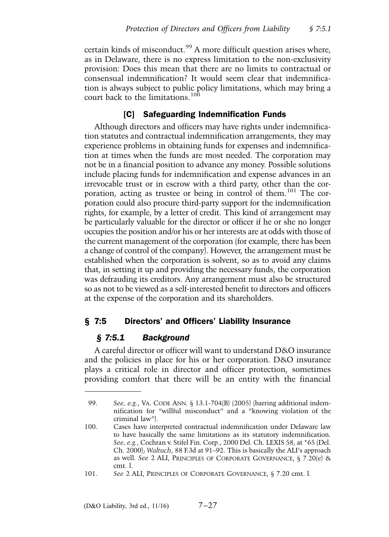certain kinds of misconduct.<sup>99</sup> A more difficult question arises where, as in Delaware, there is no express limitation to the non-exclusivity provision: Does this mean that there are no limits to contractual or consensual indemnification? It would seem clear that indemnification is always subject to public policy limitations, which may bring a court back to the limitations.<sup>100</sup>

## [C] Safeguarding Indemnification Funds

Although directors and officers may have rights under indemnification statutes and contractual indemnification arrangements, they may experience problems in obtaining funds for expenses and indemnification at times when the funds are most needed. The corporation may not be in a financial position to advance any money. Possible solutions include placing funds for indemnification and expense advances in an irrevocable trust or in escrow with a third party, other than the corporation, acting as trustee or being in control of them.<sup>101</sup> The corporation could also procure third-party support for the indemnification rights, for example, by a letter of credit. This kind of arrangement may be particularly valuable for the director or officer if he or she no longer occupies the position and/or his or her interests are at odds with those of the current management of the corporation (for example, there has been a change of control of the company). However, the arrangement must be established when the corporation is solvent, so as to avoid any claims that, in setting it up and providing the necessary funds, the corporation was defrauding its creditors. Any arrangement must also be structured so as not to be viewed as a self-interested benefit to directors and officers at the expense of the corporation and its shareholders.

## § 7:5 Directors' and Officers' Liability Insurance

## *§ 7:5.1 Background*

A careful director or officer will want to understand D&O insurance and the policies in place for his or her corporation. D&O insurance plays a critical role in director and officer protection, sometimes providing comfort that there will be an entity with the financial

<sup>99.</sup> *See, e.g.*, VA. CODE ANN. § 13.1-704(B) (2005) (barring additional indemnification for "willful misconduct" and a "knowing violation of the criminal law").

<sup>100.</sup> Cases have interpreted contractual indemnification under Delaware law to have basically the same limitations as its statutory indemnification. *See, e.g.*, Cochran v. Stifel Fin. Corp., 2000 Del. Ch. LEXIS 58, at \*65 (Del. Ch. 2000); *Waltuch*, 88 F.3d at 91–92. This is basically the ALI's approach as well. *See* 2 ALI, PRINCIPLES OF CORPORATE GOVERNANCE, § 7.20(e) & cmt. l.

<sup>101.</sup> *See* 2 ALI, PRINCIPLES OF CORPORATE GOVERNANCE, § 7.20 cmt. l.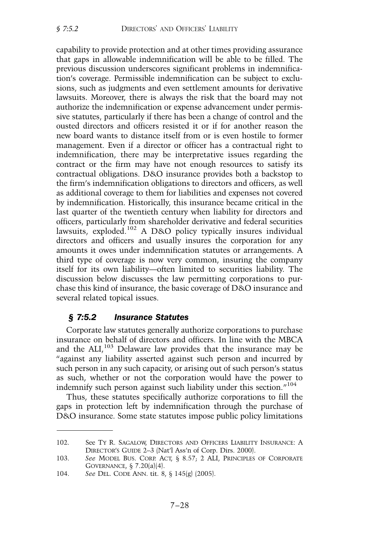capability to provide protection and at other times providing assurance that gaps in allowable indemnification will be able to be filled. The previous discussion underscores significant problems in indemnification's coverage. Permissible indemnification can be subject to exclusions, such as judgments and even settlement amounts for derivative lawsuits. Moreover, there is always the risk that the board may not authorize the indemnification or expense advancement under permissive statutes, particularly if there has been a change of control and the ousted directors and officers resisted it or if for another reason the new board wants to distance itself from or is even hostile to former management. Even if a director or officer has a contractual right to indemnification, there may be interpretative issues regarding the contract or the firm may have not enough resources to satisfy its contractual obligations. D&O insurance provides both a backstop to the firm's indemnification obligations to directors and officers, as well as additional coverage to them for liabilities and expenses not covered by indemnification. Historically, this insurance became critical in the last quarter of the twentieth century when liability for directors and officers, particularly from shareholder derivative and federal securities lawsuits, exploded.<sup>102</sup> A D&O policy typically insures individual directors and officers and usually insures the corporation for any amounts it owes under indemnification statutes or arrangements. A third type of coverage is now very common, insuring the company itself for its own liability—often limited to securities liability. The discussion below discusses the law permitting corporations to purchase this kind of insurance, the basic coverage of D&O insurance and several related topical issues.

# *§ 7:5.2 Insurance Statutes*

Corporate law statutes generally authorize corporations to purchase insurance on behalf of directors and officers. In line with the MBCA and the ALI,<sup>103</sup> Delaware law provides that the insurance may be "against any liability asserted against such person and incurred by such person in any such capacity, or arising out of such person's status as such, whether or not the corporation would have the power to indemnify such person against such liability under this section."<sup>104</sup>

Thus, these statutes specifically authorize corporations to fill the gaps in protection left by indemnification through the purchase of D&O insurance. Some state statutes impose public policy limitations

<sup>102.</sup> See TY R. SAGALOW, DIRECTORS AND OFFICERS LIABILITY INSURANCE: A DIRECTOR'S GUIDE 2–3 (Nat'l Ass'n of Corp. Dirs. 2000).

<sup>103.</sup> *See* MODEL BUS. CORP. ACT, § 8.57; 2 ALI, PRINCIPLES OF CORPORATE GOVERNANCE,  $\S$  7.20(a)(4).

<sup>104.</sup> *See* DEL. CODE ANN. tit. 8, § 145(g) (2005).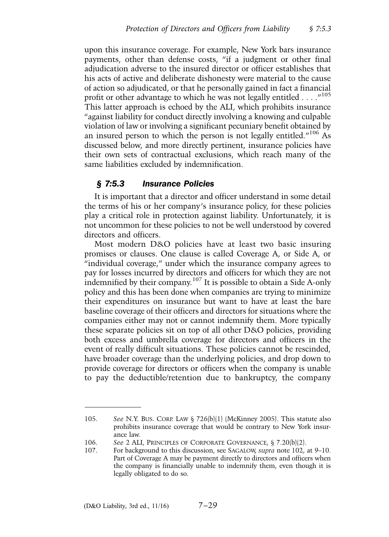upon this insurance coverage. For example, New York bars insurance payments, other than defense costs, "if a judgment or other final adjudication adverse to the insured director or officer establishes that his acts of active and deliberate dishonesty were material to the cause of action so adjudicated, or that he personally gained in fact a financial profit or other advantage to which he was not legally entitled . . . ."<sup>105</sup> This latter approach is echoed by the ALI, which prohibits insurance "against liability for conduct directly involving a knowing and culpable violation of law or involving a significant pecuniary benefit obtained by an insured person to which the person is not legally entitled."<sup>106</sup> As discussed below, and more directly pertinent, insurance policies have their own sets of contractual exclusions, which reach many of the same liabilities excluded by indemnification.

## *§ 7:5.3 Insurance Policies*

It is important that a director and officer understand in some detail the terms of his or her company's insurance policy, for these policies play a critical role in protection against liability. Unfortunately, it is not uncommon for these policies to not be well understood by covered directors and officers.

Most modern D&O policies have at least two basic insuring promises or clauses. One clause is called Coverage A, or Side A, or "individual coverage," under which the insurance company agrees to pay for losses incurred by directors and officers for which they are not indemnified by their company.<sup>107</sup> It is possible to obtain a Side A-only policy and this has been done when companies are trying to minimize their expenditures on insurance but want to have at least the bare baseline coverage of their officers and directors for situations where the companies either may not or cannot indemnify them. More typically these separate policies sit on top of all other D&O policies, providing both excess and umbrella coverage for directors and officers in the event of really difficult situations. These policies cannot be rescinded, have broader coverage than the underlying policies, and drop down to provide coverage for directors or officers when the company is unable to pay the deductible/retention due to bankruptcy, the company

<sup>105.</sup> *See* N.Y. BUS. CORP. LAW § 726(b)(1) (McKinney 2005). This statute also prohibits insurance coverage that would be contrary to New York insurance law.

<sup>106.</sup> *See* 2 ALI, PRINCIPLES OF CORPORATE GOVERNANCE, § 7.20(b)(2).

<sup>107.</sup> For background to this discussion, see SAGALOW, *supra* note 102, at 9–10. Part of Coverage A may be payment directly to directors and officers when the company is financially unable to indemnify them, even though it is legally obligated to do so.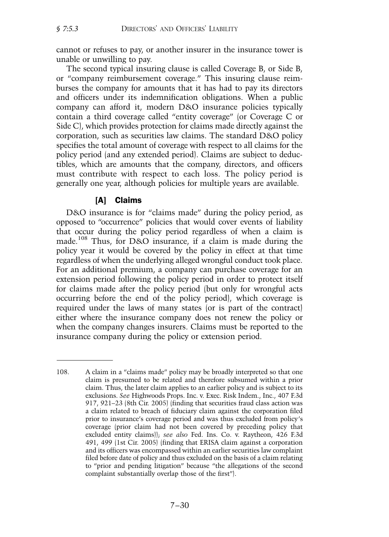cannot or refuses to pay, or another insurer in the insurance tower is unable or unwilling to pay.

The second typical insuring clause is called Coverage B, or Side B, or "company reimbursement coverage." This insuring clause reimburses the company for amounts that it has had to pay its directors and officers under its indemnification obligations. When a public company can afford it, modern D&O insurance policies typically contain a third coverage called "entity coverage" (or Coverage C or Side C), which provides protection for claims made directly against the corporation, such as securities law claims. The standard D&O policy specifies the total amount of coverage with respect to all claims for the policy period (and any extended period). Claims are subject to deductibles, which are amounts that the company, directors, and officers must contribute with respect to each loss. The policy period is generally one year, although policies for multiple years are available.

#### [A] Claims

D&O insurance is for "claims made" during the policy period, as opposed to "occurrence" policies that would cover events of liability that occur during the policy period regardless of when a claim is made.<sup>108</sup> Thus, for D&O insurance, if a claim is made during the policy year it would be covered by the policy in effect at that time regardless of when the underlying alleged wrongful conduct took place. For an additional premium, a company can purchase coverage for an extension period following the policy period in order to protect itself for claims made after the policy period (but only for wrongful acts occurring before the end of the policy period), which coverage is required under the laws of many states (or is part of the contract) either where the insurance company does not renew the policy or when the company changes insurers. Claims must be reported to the insurance company during the policy or extension period.

<sup>108.</sup> A claim in a "claims made" policy may be broadly interpreted so that one claim is presumed to be related and therefore subsumed within a prior claim. Thus, the later claim applies to an earlier policy and is subject to its exclusions. *See* Highwoods Props. Inc. v. Exec. Risk Indem., Inc., 407 F.3d 917, 921–23 (8th Cir. 2005) (finding that securities fraud class action was a claim related to breach of fiduciary claim against the corporation filed prior to insurance's coverage period and was thus excluded from policy's coverage (prior claim had not been covered by preceding policy that excluded entity claims)); *see also* Fed. Ins. Co. v. Raytheon, 426 F.3d 491, 499 (1st Cir. 2005) (finding that ERISA claim against a corporation and its officers was encompassed within an earlier securities law complaint filed before date of policy and thus excluded on the basis of a claim relating to "prior and pending litigation" because "the allegations of the second complaint substantially overlap those of the first").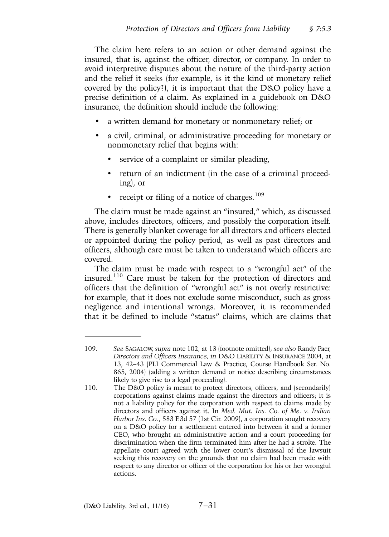The claim here refers to an action or other demand against the insured, that is, against the officer, director, or company. In order to avoid interpretive disputes about the nature of the third-party action and the relief it seeks (for example, is it the kind of monetary relief covered by the policy?), it is important that the D&O policy have a precise definition of a claim. As explained in a guidebook on D&O insurance, the definition should include the following:

- a written demand for monetary or nonmonetary relief; or
- a civil, criminal, or administrative proceeding for monetary or nonmonetary relief that begins with:
	- service of a complaint or similar pleading,
	- return of an indictment (in the case of a criminal proceeding), or
	- receipt or filing of a notice of charges. $109$

The claim must be made against an "insured," which, as discussed above, includes directors, officers, and possibly the corporation itself. There is generally blanket coverage for all directors and officers elected or appointed during the policy period, as well as past directors and officers, although care must be taken to understand which officers are covered.

The claim must be made with respect to a "wrongful act" of the insured.<sup>110</sup> Care must be taken for the protection of directors and officers that the definition of "wrongful act" is not overly restrictive: for example, that it does not exclude some misconduct, such as gross negligence and intentional wrongs. Moreover, it is recommended that it be defined to include "status" claims, which are claims that

<sup>109.</sup> *See* SAGALOW, *supra* note 102, at 13 (footnote omitted); *see also* Randy Paer, *Directors and Officers Insurance, in* D&O LIABILITY & INSURANCE 2004, at 13, 42–43 (PLI Commercial Law & Practice, Course Handbook Ser. No. 865, 2004) (adding a written demand or notice describing circumstances likely to give rise to a legal proceeding).

<sup>110.</sup> The D&O policy is meant to protect directors, officers, and (secondarily) corporations against claims made against the directors and officers; it is not a liability policy for the corporation with respect to claims made by directors and officers against it. In *Med. Mut. Ins. Co. of Me. v. Indian Harbor Ins. Co*., 583 F.3d 57 (1st Cir. 2009), a corporation sought recovery on a D&O policy for a settlement entered into between it and a former CEO, who brought an administrative action and a court proceeding for discrimination when the firm terminated him after he had a stroke. The appellate court agreed with the lower court's dismissal of the lawsuit seeking this recovery on the grounds that no claim had been made with respect to any director or officer of the corporation for his or her wrongful actions.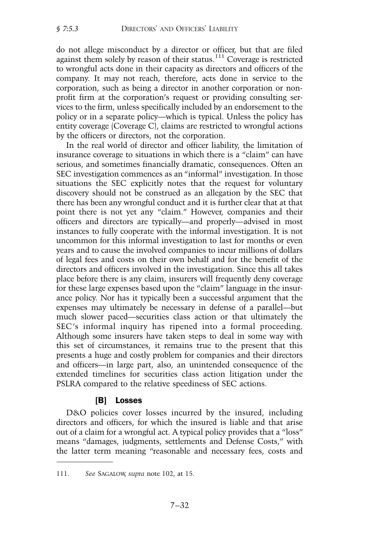do not allege misconduct by a director or officer, but that are filed against them solely by reason of their status.<sup>111</sup> Coverage is restricted to wrongful acts done in their capacity as directors and officers of the company. It may not reach, therefore, acts done in service to the corporation, such as being a director in another corporation or nonprofit firm at the corporation's request or providing consulting services to the firm, unless specifically included by an endorsement to the policy or in a separate policy—which is typical. Unless the policy has entity coverage (Coverage C), claims are restricted to wrongful actions by the officers or directors, not the corporation.

In the real world of director and officer liability, the limitation of insurance coverage to situations in which there is a "claim" can have serious, and sometimes financially dramatic, consequences. Often an SEC investigation commences as an "informal" investigation. In those situations the SEC explicitly notes that the request for voluntary discovery should not be construed as an allegation by the SEC that there has been any wrongful conduct and it is further clear that at that point there is not yet any "claim." However, companies and their officers and directors are typically—and properly—advised in most instances to fully cooperate with the informal investigation. It is not uncommon for this informal investigation to last for months or even years and to cause the involved companies to incur millions of dollars of legal fees and costs on their own behalf and for the benefit of the directors and officers involved in the investigation. Since this all takes place before there is any claim, insurers will frequently deny coverage for these large expenses based upon the "claim" language in the insurance policy. Nor has it typically been a successful argument that the expenses may ultimately be necessary in defense of a parallel—but much slower paced—securities class action or that ultimately the SEC's informal inquiry has ripened into a formal proceeding. Although some insurers have taken steps to deal in some way with this set of circumstances, it remains true to the present that this presents a huge and costly problem for companies and their directors and officers—in large part, also, an unintended consequence of the extended timelines for securities class action litigation under the PSLRA compared to the relative speediness of SEC actions.

## [B] Losses

D&O policies cover losses incurred by the insured, including directors and officers, for which the insured is liable and that arise out of a claim for a wrongful act. A typical policy provides that a "loss" means "damages, judgments, settlements and Defense Costs," with the latter term meaning "reasonable and necessary fees, costs and

<sup>111.</sup> *See* SAGALOW, *supra* note 102, at 15.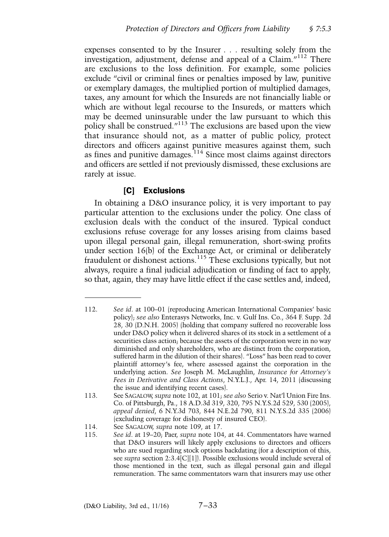expenses consented to by the Insurer . . . resulting solely from the investigation, adjustment, defense and appeal of a Claim. $i^{112}$  There are exclusions to the loss definition. For example, some policies exclude "civil or criminal fines or penalties imposed by law, punitive or exemplary damages, the multiplied portion of multiplied damages, taxes, any amount for which the Insureds are not financially liable or which are without legal recourse to the Insureds, or matters which may be deemed uninsurable under the law pursuant to which this policy shall be construed."<sup>113</sup> The exclusions are based upon the view that insurance should not, as a matter of public policy, protect directors and officers against punitive measures against them, such as fines and punitive damages. $114$  Since most claims against directors and officers are settled if not previously dismissed, these exclusions are rarely at issue.

## [C] Exclusions

In obtaining a D&O insurance policy, it is very important to pay particular attention to the exclusions under the policy. One class of exclusion deals with the conduct of the insured. Typical conduct exclusions refuse coverage for any losses arising from claims based upon illegal personal gain, illegal remuneration, short-swing profits under section 16(b) of the Exchange Act, or criminal or deliberately fraudulent or dishonest actions.<sup>115</sup> These exclusions typically, but not always, require a final judicial adjudication or finding of fact to apply, so that, again, they may have little effect if the case settles and, indeed,

<sup>112.</sup> *See id*. at 100–01 (reproducing American International Companies' basic policy); *see also* Enterasys Networks, Inc. v. Gulf Ins. Co., 364 F. Supp. 2d 28, 30 (D.N.H. 2005) (holding that company suffered no recoverable loss under D&O policy when it delivered shares of its stock in a settlement of a securities class action; because the assets of the corporation were in no way diminished and only shareholders, who are distinct from the corporation, suffered harm in the dilution of their shares). "Loss" has been read to cover plaintiff attorney's fee, where assessed against the corporation in the underlying action. *See* Joseph M. McLaughlin, *Insurance for Attorney's Fees in Derivative and Class Actions*, N.Y.L.J., Apr. 14, 2011 (discussing the issue and identifying recent cases).

<sup>113.</sup> See SAGALOW, *supra* note 102, at 101; *see also* Serio v. Nat'l Union Fire Ins. Co. of Pittsburgh, Pa., 18 A.D.3d 319, 320, 795 N.Y.S.2d 529, 530 (2005), *appeal denied*, 6 N.Y.3d 703, 844 N.E.2d 790, 811 N.Y.S.2d 335 (2006) (excluding coverage for dishonesty of insured CEO).

<sup>114.</sup> See SAGALOW, *supra* note 109, at 17.

<sup>115.</sup> *See id*. at 19–20; Paer, *supra* note 104, at 44. Commentators have warned that D&O insurers will likely apply exclusions to directors and officers who are sued regarding stock options backdating (for a description of this, see *supra* section 2:3.4[C][1]). Possible exclusions would include several of those mentioned in the text, such as illegal personal gain and illegal remuneration. The same commentators warn that insurers may use other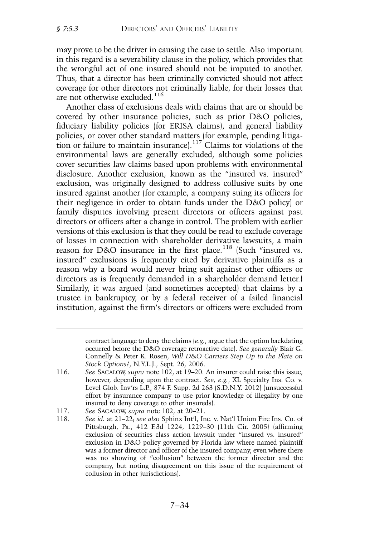may prove to be the driver in causing the case to settle. Also important in this regard is a severability clause in the policy, which provides that the wrongful act of one insured should not be imputed to another. Thus, that a director has been criminally convicted should not affect coverage for other directors not criminally liable, for their losses that are not otherwise excluded.<sup>116</sup>

Another class of exclusions deals with claims that are or should be covered by other insurance policies, such as prior D&O policies, fiduciary liability policies (for ERISA claims), and general liability policies, or cover other standard matters (for example, pending litigation or failure to maintain insurance).<sup>117</sup> Claims for violations of the environmental laws are generally excluded, although some policies cover securities law claims based upon problems with environmental disclosure. Another exclusion, known as the "insured vs. insured" exclusion, was originally designed to address collusive suits by one insured against another (for example, a company suing its officers for their negligence in order to obtain funds under the D&O policy) or family disputes involving present directors or officers against past directors or officers after a change in control. The problem with earlier versions of this exclusion is that they could be read to exclude coverage of losses in connection with shareholder derivative lawsuits, a main reason for D&O insurance in the first place.<sup>118</sup> (Such "insured vs. insured" exclusions is frequently cited by derivative plaintiffs as a reason why a board would never bring suit against other officers or directors as is frequently demanded in a shareholder demand letter.) Similarly, it was argued (and sometimes accepted) that claims by a trustee in bankruptcy, or by a federal receiver of a failed financial institution, against the firm's directors or officers were excluded from

117. *See* SAGALOW, *supra* note 102, at 20–21.

contract language to deny the claims (*e.g.*, argue that the option backdating occurred before the D&O coverage retroactive date). *See generally* Blair G. Connelly & Peter K. Rosen, *Will D*&*O Carriers Step Up to the Plate on Stock Options?*, N.Y.L.J., Sept. 26, 2006.

<sup>116.</sup> *See* SAGALOW, *supra* note 102, at 19–20. An insurer could raise this issue, however, depending upon the contract. *See, e.g.*, XL Specialty Ins. Co. v. Level Glob. Inv'rs L.P., 874 F. Supp. 2d 263 (S.D.N.Y. 2012) (unsuccessful effort by insurance company to use prior knowledge of illegality by one insured to deny coverage to other insureds).

<sup>118.</sup> *See id.* at 21–22; *see also* Sphinx Int'l, Inc. v. Nat'l Union Fire Ins. Co. of Pittsburgh, Pa., 412 F.3d 1224, 1229–30 (11th Cir. 2005) (affirming exclusion of securities class action lawsuit under "insured vs. insured" exclusion in D&O policy governed by Florida law where named plaintiff was a former director and officer of the insured company, even where there was no showing of "collusion" between the former director and the company, but noting disagreement on this issue of the requirement of collusion in other jurisdictions).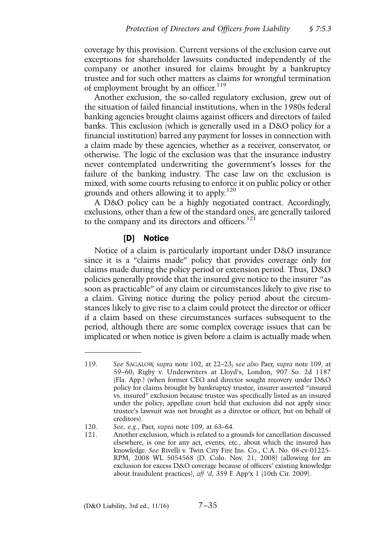coverage by this provision. Current versions of the exclusion carve out exceptions for shareholder lawsuits conducted independently of the company or another insured for claims brought by a bankruptcy trustee and for such other matters as claims for wrongful termination of employment brought by an officer.<sup>119</sup>

Another exclusion, the so-called regulatory exclusion, grew out of the situation of failed financial institutions, when in the 1980s federal banking agencies brought claims against officers and directors of failed banks. This exclusion (which is generally used in a D&O policy for a financial institution) barred any payment for losses in connection with a claim made by these agencies, whether as a receiver, conservator, or otherwise. The logic of the exclusion was that the insurance industry never contemplated underwriting the government's losses for the failure of the banking industry. The case law on the exclusion is mixed, with some courts refusing to enforce it on public policy or other grounds and others allowing it to apply.<sup>120</sup>

A D&O policy can be a highly negotiated contract. Accordingly, exclusions, other than a few of the standard ones, are generally tailored to the company and its directors and officers.<sup>121</sup>

#### [D] Notice

Notice of a claim is particularly important under D&O insurance since it is a "claims made" policy that provides coverage only for claims made during the policy period or extension period. Thus, D&O policies generally provide that the insured give notice to the insurer "as soon as practicable" of any claim or circumstances likely to give rise to a claim. Giving notice during the policy period about the circumstances likely to give rise to a claim could protect the director or officer if a claim based on these circumstances surfaces subsequent to the period, although there are some complex coverage issues that can be implicated or when notice is given before a claim is actually made when

<sup>119.</sup> *See* SAGALOW, *supra* note 102, at 22–23; *see also* Paer, *supra* note 109, at 59–60; Rigby v. Underwriters at Lloyd's, London, 907 So. 2d 1187 (Fla. App.) (when former CEO and director sought recovery under D&O policy for claims brought by bankruptcy trustee, insurer asserted "insured vs. insured" exclusion because trustee was specifically listed as an insured under the policy; appellate court held that exclusion did not apply since trustee's lawsuit was not brought as a director or officer, but on behalf of creditors).

<sup>120.</sup> *See, e.g.*, Paer, *supra* note 109, at 63–64.

<sup>121.</sup> Another exclusion, which is related to a grounds for cancellation discussed elsewhere, is one for any act, events, etc., about which the insured has knowledge. *See* Rivelli v. Twin City Fire Ins. Co., C.A. No. 08-cv-01225- RPM, 2008 WL 5054568 (D. Colo. Nov. 21, 2008) (allowing for an exclusion for excess D&O coverage because of officers' existing knowledge about fraudulent practices), *aff* '*d*, 359 F. App'x 1 (10th Cir. 2009).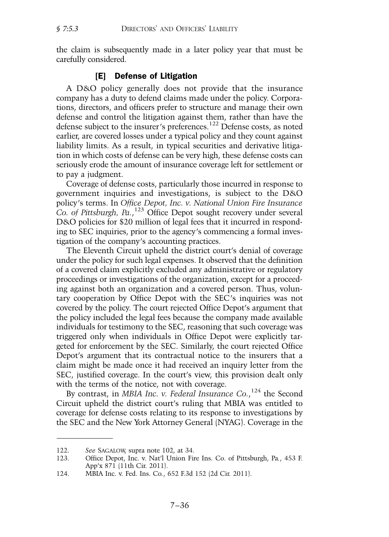the claim is subsequently made in a later policy year that must be carefully considered.

## [E] Defense of Litigation

A D&O policy generally does not provide that the insurance company has a duty to defend claims made under the policy. Corporations, directors, and officers prefer to structure and manage their own defense and control the litigation against them, rather than have the defense subject to the insurer's preferences.<sup>122</sup> Defense costs, as noted earlier, are covered losses under a typical policy and they count against liability limits. As a result, in typical securities and derivative litigation in which costs of defense can be very high, these defense costs can seriously erode the amount of insurance coverage left for settlement or to pay a judgment.

Coverage of defense costs, particularly those incurred in response to government inquiries and investigations, is subject to the D&O policy's terms. In *Office Depot, Inc. v. National Union Fire Insurance Co. of Pittsburgh, Pa.*, <sup>123</sup> Office Depot sought recovery under several D&O policies for \$20 million of legal fees that it incurred in responding to SEC inquiries, prior to the agency's commencing a formal investigation of the company's accounting practices.

The Eleventh Circuit upheld the district court's denial of coverage under the policy for such legal expenses. It observed that the definition of a covered claim explicitly excluded any administrative or regulatory proceedings or investigations of the organization, except for a proceeding against both an organization and a covered person. Thus, voluntary cooperation by Office Depot with the SEC's inquiries was not covered by the policy. The court rejected Office Depot's argument that the policy included the legal fees because the company made available individuals for testimony to the SEC, reasoning that such coverage was triggered only when individuals in Office Depot were explicitly targeted for enforcement by the SEC. Similarly, the court rejected Office Depot's argument that its contractual notice to the insurers that a claim might be made once it had received an inquiry letter from the SEC, justified coverage. In the court's view, this provision dealt only with the terms of the notice, not with coverage.

By contrast, in *MBIA Inc. v. Federal Insurance Co.*,<sup>124</sup> the Second Circuit upheld the district court's ruling that MBIA was entitled to coverage for defense costs relating to its response to investigations by the SEC and the New York Attorney General (NYAG). Coverage in the

<sup>122.</sup> *See* SAGALOW, supra note 102, at 34.

<sup>123.</sup> Office Depot, Inc. v. Nat'l Union Fire Ins. Co. of Pittsburgh, Pa*.*, 453 F. App'x 871 (11th Cir. 2011).

<sup>124.</sup> MBIA Inc. v. Fed. Ins. Co*.*, 652 F.3d 152 (2d Cir. 2011).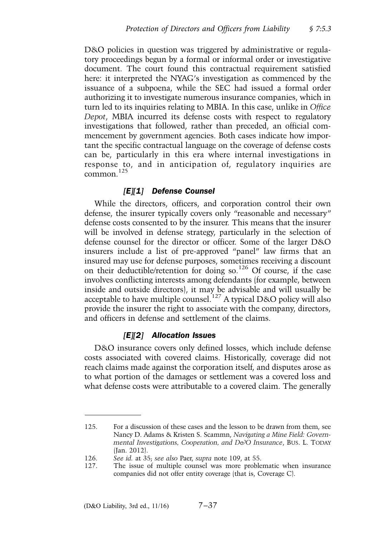D&O policies in question was triggered by administrative or regulatory proceedings begun by a formal or informal order or investigative document. The court found this contractual requirement satisfied here: it interpreted the NYAG's investigation as commenced by the issuance of a subpoena, while the SEC had issued a formal order authorizing it to investigate numerous insurance companies, which in turn led to its inquiries relating to MBIA. In this case, unlike in *Office Depot*, MBIA incurred its defense costs with respect to regulatory investigations that followed, rather than preceded, an official commencement by government agencies. Both cases indicate how important the specific contractual language on the coverage of defense costs can be, particularly in this era where internal investigations in response to, and in anticipation of, regulatory inquiries are common $125$ 

#### *[E][1] Defense Counsel*

While the directors, officers, and corporation control their own defense, the insurer typically covers only "reasonable and necessary" defense costs consented to by the insurer. This means that the insurer will be involved in defense strategy, particularly in the selection of defense counsel for the director or officer. Some of the larger D&O insurers include a list of pre-approved "panel" law firms that an insured may use for defense purposes, sometimes receiving a discount on their deductible/retention for doing so.<sup>126</sup> Of course, if the case involves conflicting interests among defendants (for example, between inside and outside directors), it may be advisable and will usually be acceptable to have multiple counsel.<sup>127</sup> A typical D&O policy will also provide the insurer the right to associate with the company, directors, and officers in defense and settlement of the claims.

#### *[E][2] Allocation Issues*

D&O insurance covers only defined losses, which include defense costs associated with covered claims. Historically, coverage did not reach claims made against the corporation itself, and disputes arose as to what portion of the damages or settlement was a covered loss and what defense costs were attributable to a covered claim. The generally

<sup>125.</sup> For a discussion of these cases and the lesson to be drawn from them, see Nancy D. Adams & Kristen S. Scammn, *Navigating a Mine Field: Governmental Investigations, Cooperation, and D&O Insurance*, BUS. L. TODAY (Jan. 2012).

<sup>126.</sup> *See id.* at 35; *see also* Paer, *supra* note 109, at 55.

<sup>127.</sup> The issue of multiple counsel was more problematic when insurance companies did not offer entity coverage (that is, Coverage C).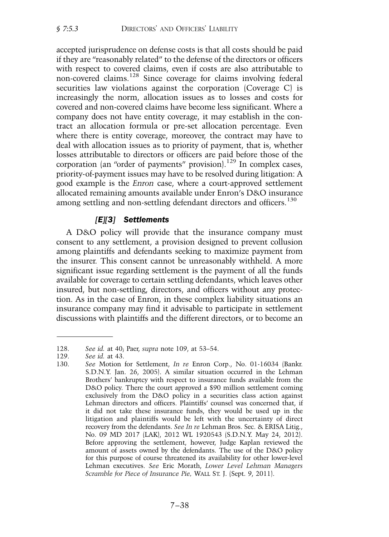accepted jurisprudence on defense costs is that all costs should be paid if they are "reasonably related" to the defense of the directors or officers with respect to covered claims, even if costs are also attributable to non-covered claims.<sup>128</sup> Since coverage for claims involving federal securities law violations against the corporation (Coverage C) is increasingly the norm, allocation issues as to losses and costs for covered and non-covered claims have become less significant. Where a company does not have entity coverage, it may establish in the contract an allocation formula or pre-set allocation percentage. Even where there is entity coverage, moreover, the contract may have to deal with allocation issues as to priority of payment, that is, whether losses attributable to directors or officers are paid before those of the corporation (an "order of payments" provision).<sup>129</sup> In complex cases, priority-of-payment issues may have to be resolved during litigation: A good example is the *Enron* case, where a court-approved settlement allocated remaining amounts available under Enron's D&O insurance among settling and non-settling defendant directors and officers.<sup>130</sup>

# *[E][3] Settlements*

A D&O policy will provide that the insurance company must consent to any settlement, a provision designed to prevent collusion among plaintiffs and defendants seeking to maximize payment from the insurer. This consent cannot be unreasonably withheld. A more significant issue regarding settlement is the payment of all the funds available for coverage to certain settling defendants, which leaves other insured, but non-settling, directors, and officers without any protection. As in the case of Enron, in these complex liability situations an insurance company may find it advisable to participate in settlement discussions with plaintiffs and the different directors, or to become an

<sup>128.</sup> *See id.* at 40; Paer, *supra* note 109, at 53–54.

<sup>129.</sup> *See id.* at 43.

See Motion for Settlement, *In re* Enron Corp., No. 01-16034 (Bankr. S.D.N.Y. Jan. 26, 2005). A similar situation occurred in the Lehman Brothers' bankruptcy with respect to insurance funds available from the D&O policy. There the court approved a \$90 million settlement coming exclusively from the D&O policy in a securities class action against Lehman directors and officers. Plaintiffs' counsel was concerned that, if it did not take these insurance funds, they would be used up in the litigation and plaintiffs would be left with the uncertainty of direct recovery from the defendants. *See In re* Lehman Bros. Sec. & ERISA Litig., No. 09 MD 2017 (LAK), 2012 WL 1920543 (S.D.N.Y. May 24, 2012). Before approving the settlement, however, Judge Kaplan reviewed the amount of assets owned by the defendants. The use of the D&O policy for this purpose of course threatened its availability for other lower-level Lehman executives. *See* Eric Morath, *Lower Level Lehman Managers Scramble for Piece of Insurance Pie,* WALL ST. J. (Sept. 9, 2011).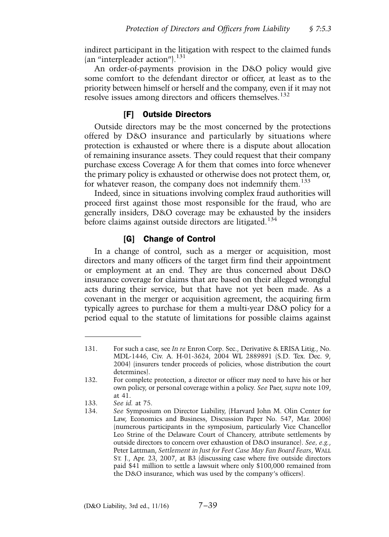indirect participant in the litigation with respect to the claimed funds (an "interpleader action"). $^{131}$ 

An order-of-payments provision in the D&O policy would give some comfort to the defendant director or officer, at least as to the priority between himself or herself and the company, even if it may not resolve issues among directors and officers themselves.<sup>132</sup>

## [F] Outside Directors

Outside directors may be the most concerned by the protections offered by D&O insurance and particularly by situations where protection is exhausted or where there is a dispute about allocation of remaining insurance assets. They could request that their company purchase excess Coverage A for them that comes into force whenever the primary policy is exhausted or otherwise does not protect them, or, for whatever reason, the company does not indemnify them.<sup>133</sup>

Indeed, since in situations involving complex fraud authorities will proceed first against those most responsible for the fraud, who are generally insiders, D&O coverage may be exhausted by the insiders before claims against outside directors are litigated.<sup>134</sup>

#### [G] Change of Control

In a change of control, such as a merger or acquisition, most directors and many officers of the target firm find their appointment or employment at an end. They are thus concerned about D&O insurance coverage for claims that are based on their alleged wrongful acts during their service, but that have not yet been made. As a covenant in the merger or acquisition agreement, the acquiring firm typically agrees to purchase for them a multi-year D&O policy for a period equal to the statute of limitations for possible claims against

<sup>131.</sup> For such a case, see *In re* Enron Corp. Sec., Derivative & ERISA Litig., No. MDL-1446, Civ. A. H-01-3624, 2004 WL 2889891 (S.D. Tex. Dec. 9, 2004) (insurers tender proceeds of policies, whose distribution the court determines).

<sup>132.</sup> For complete protection, a director or officer may need to have his or her own policy, or personal coverage within a policy. *See* Paer, *supra* note 109, at 41.

<sup>133.</sup> *See id.* at 75.

<sup>134.</sup> *See* Symposium on Director Liability, (Harvard John M. Olin Center for Law, Economics and Business, Discussion Paper No. 547, Mar. 2006) (numerous participants in the symposium, particularly Vice Chancellor Leo Strine of the Delaware Court of Chancery, attribute settlements by outside directors to concern over exhaustion of D&O insurance). *See, e.g.*, Peter Lattman, *Settlement in Just for Feet Case May Fan Board Fears*, WALL ST. J., Apr. 23, 2007, at B3 (discussing case where five outside directors paid \$41 million to settle a lawsuit where only \$100,000 remained from the D&O insurance, which was used by the company's officers).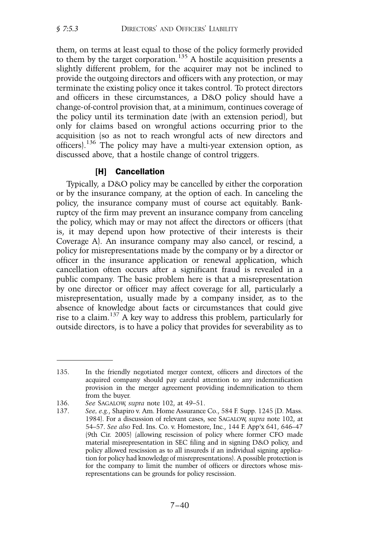them, on terms at least equal to those of the policy formerly provided to them by the target corporation.<sup>135</sup> A hostile acquisition presents a slightly different problem, for the acquirer may not be inclined to provide the outgoing directors and officers with any protection, or may terminate the existing policy once it takes control. To protect directors and officers in these circumstances, a D&O policy should have a change-of-control provision that, at a minimum, continues coverage of the policy until its termination date (with an extension period), but only for claims based on wrongful actions occurring prior to the acquisition (so as not to reach wrongful acts of new directors and officers).<sup>136</sup> The policy may have a multi-year extension option, as discussed above, that a hostile change of control triggers.

## [H] Cancellation

Typically, a D&O policy may be cancelled by either the corporation or by the insurance company, at the option of each. In canceling the policy, the insurance company must of course act equitably. Bankruptcy of the firm may prevent an insurance company from canceling the policy, which may or may not affect the directors or officers (that is, it may depend upon how protective of their interests is their Coverage A). An insurance company may also cancel, or rescind, a policy for misrepresentations made by the company or by a director or officer in the insurance application or renewal application, which cancellation often occurs after a significant fraud is revealed in a public company. The basic problem here is that a misrepresentation by one director or officer may affect coverage for all, particularly a misrepresentation, usually made by a company insider, as to the absence of knowledge about facts or circumstances that could give rise to a claim.<sup>137</sup> A key way to address this problem, particularly for outside directors, is to have a policy that provides for severability as to

<sup>135.</sup> In the friendly negotiated merger context, officers and directors of the acquired company should pay careful attention to any indemnification provision in the merger agreement providing indemnification to them from the buyer.

<sup>136.</sup> *See* SAGALOW, *supra* note 102, at 49–51.

<sup>137.</sup> *See, e.g.*, Shapiro v. Am. Home Assurance Co., 584 F. Supp. 1245 (D. Mass. 1984). For a discussion of relevant cases, see SAGALOW, *supra* note 102, at 54–57. *See also* Fed. Ins. Co. v. Homestore, Inc., 144 F. App'x 641, 646–47 (9th Cir. 2005) (allowing rescission of policy where former CFO made material misrepresentation in SEC filing and in signing D&O policy, and policy allowed rescission as to all insureds if an individual signing application for policy had knowledge of misrepresentations). A possible protection is for the company to limit the number of officers or directors whose misrepresentations can be grounds for policy rescission.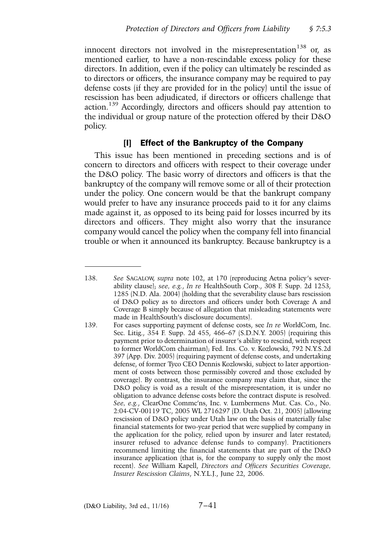innocent directors not involved in the misrepresentation<sup>138</sup> or, as mentioned earlier, to have a non-rescindable excess policy for these directors. In addition, even if the policy can ultimately be rescinded as to directors or officers, the insurance company may be required to pay defense costs (if they are provided for in the policy) until the issue of rescission has been adjudicated, if directors or officers challenge that action.<sup>139</sup> Accordingly, directors and officers should pay attention to the individual or group nature of the protection offered by their D&O policy.

### [I] Effect of the Bankruptcy of the Company

This issue has been mentioned in preceding sections and is of concern to directors and officers with respect to their coverage under the D&O policy. The basic worry of directors and officers is that the bankruptcy of the company will remove some or all of their protection under the policy. One concern would be that the bankrupt company would prefer to have any insurance proceeds paid to it for any claims made against it, as opposed to its being paid for losses incurred by its directors and officers. They might also worry that the insurance company would cancel the policy when the company fell into financial trouble or when it announced its bankruptcy. Because bankruptcy is a

<sup>138.</sup> *See* SAGALOW, *supra* note 102, at 170 (reproducing Aetna policy's severability clause); *see, e.g.*, *In re* HealthSouth Corp., 308 F. Supp. 2d 1253, 1285 (N.D. Ala. 2004) (holding that the severability clause bars rescission of D&O policy as to directors and officers under both Coverage A and Coverage B simply because of allegation that misleading statements were made in HealthSouth's disclosure documents).

<sup>139.</sup> For cases supporting payment of defense costs, see *In re* WorldCom, Inc. Sec. Litig., 354 F. Supp. 2d 455, 466–67 (S.D.N.Y. 2005) (requiring this payment prior to determination of insurer's ability to rescind, with respect to former WorldCom chairman); Fed. Ins. Co. v. Kozlowski, 792 N.Y.S.2d 397 (App. Div. 2005) (requiring payment of defense costs, and undertaking defense, of former Tyco CEO Dennis Kozlowski, subject to later apportionment of costs between those permissibly covered and those excluded by coverage). By contrast, the insurance company may claim that, since the D&O policy is void as a result of the misrepresentation, it is under no obligation to advance defense costs before the contract dispute is resolved. *See, e.g.*, ClearOne Commc'ns, Inc. v. Lumbermens Mut. Cas. Co., No. 2:04-CV-00119 TC, 2005 WL 2716297 (D. Utah Oct. 21, 2005) (allowing rescission of D&O policy under Utah law on the basis of materially false financial statements for two-year period that were supplied by company in the application for the policy, relied upon by insurer and later restated; insurer refused to advance defense funds to company). Practitioners recommend limiting the financial statements that are part of the D&O insurance application (that is, for the company to supply only the most recent). *See* William Kapell, *Directors and Officers Securities Coverage, Insurer Rescission Claims*, N.Y.L.J., June 22, 2006.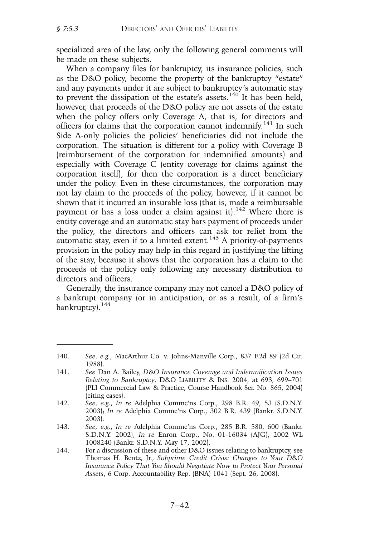specialized area of the law, only the following general comments will be made on these subjects.

When a company files for bankruptcy, its insurance policies, such as the D&O policy, become the property of the bankruptcy "estate" and any payments under it are subject to bankruptcy's automatic stay to prevent the dissipation of the estate's assets.<sup>140</sup> It has been held, however, that proceeds of the D&O policy are not assets of the estate when the policy offers only Coverage A, that is, for directors and officers for claims that the corporation cannot indemnify.<sup>141</sup> In such Side A-only policies the policies' beneficiaries did not include the corporation. The situation is different for a policy with Coverage B (reimbursement of the corporation for indemnified amounts) and especially with Coverage C (entity coverage for claims against the corporation itself), for then the corporation is a direct beneficiary under the policy. Even in these circumstances, the corporation may not lay claim to the proceeds of the policy, however, if it cannot be shown that it incurred an insurable loss (that is, made a reimbursable payment or has a loss under a claim against it).<sup>142</sup> Where there is entity coverage and an automatic stay bars payment of proceeds under the policy, the directors and officers can ask for relief from the automatic stay, even if to a limited extent.<sup>143</sup> A priority-of-payments provision in the policy may help in this regard in justifying the lifting of the stay, because it shows that the corporation has a claim to the proceeds of the policy only following any necessary distribution to directors and officers.

Generally, the insurance company may not cancel a D&O policy of a bankrupt company (or in anticipation, or as a result, of a firm's bankruptcy).<sup>144</sup>

<sup>140.</sup> *See, e.g.*, MacArthur Co. v. Johns-Manville Corp., 837 F.2d 89 (2d Cir. 1988).

<sup>141.</sup> *See* Dan A. Bailey, *D*&*O Insurance Coverage and Indemnification Issues Relating to Bankruptcy*, D&O LIABILITY & INS. 2004, at 693, 699–701 (PLI Commercial Law & Practice, Course Handbook Ser. No. 865, 2004) (citing cases).

<sup>142.</sup> *See, e.g.*, *In re* Adelphia Commc'ns Corp., 298 B.R. 49, 53 (S.D.N.Y. 2003); *In re* Adelphia Commc'ns Corp., 302 B.R. 439 (Bankr. S.D.N.Y. 2003).

<sup>143.</sup> *See, e.g.*, *In re* Adelphia Commc'ns Corp., 285 B.R. 580, 600 (Bankr. S.D.N.Y. 2002); *In re* Enron Corp., No. 01-16034 (AJG), 2002 WL 1008240 (Bankr. S.D.N.Y. May 17, 2002).

<sup>144.</sup> For a discussion of these and other D&O issues relating to bankruptcy, see Thomas H. Bentz, Jr., *Subprime Credit Crisis: Changes to Your D*&*O Insurance Policy That You Should Negotiate Now to Protect Your Personal Assets*, 6 Corp. Accountability Rep. (BNA) 1041 (Sept. 26, 2008).